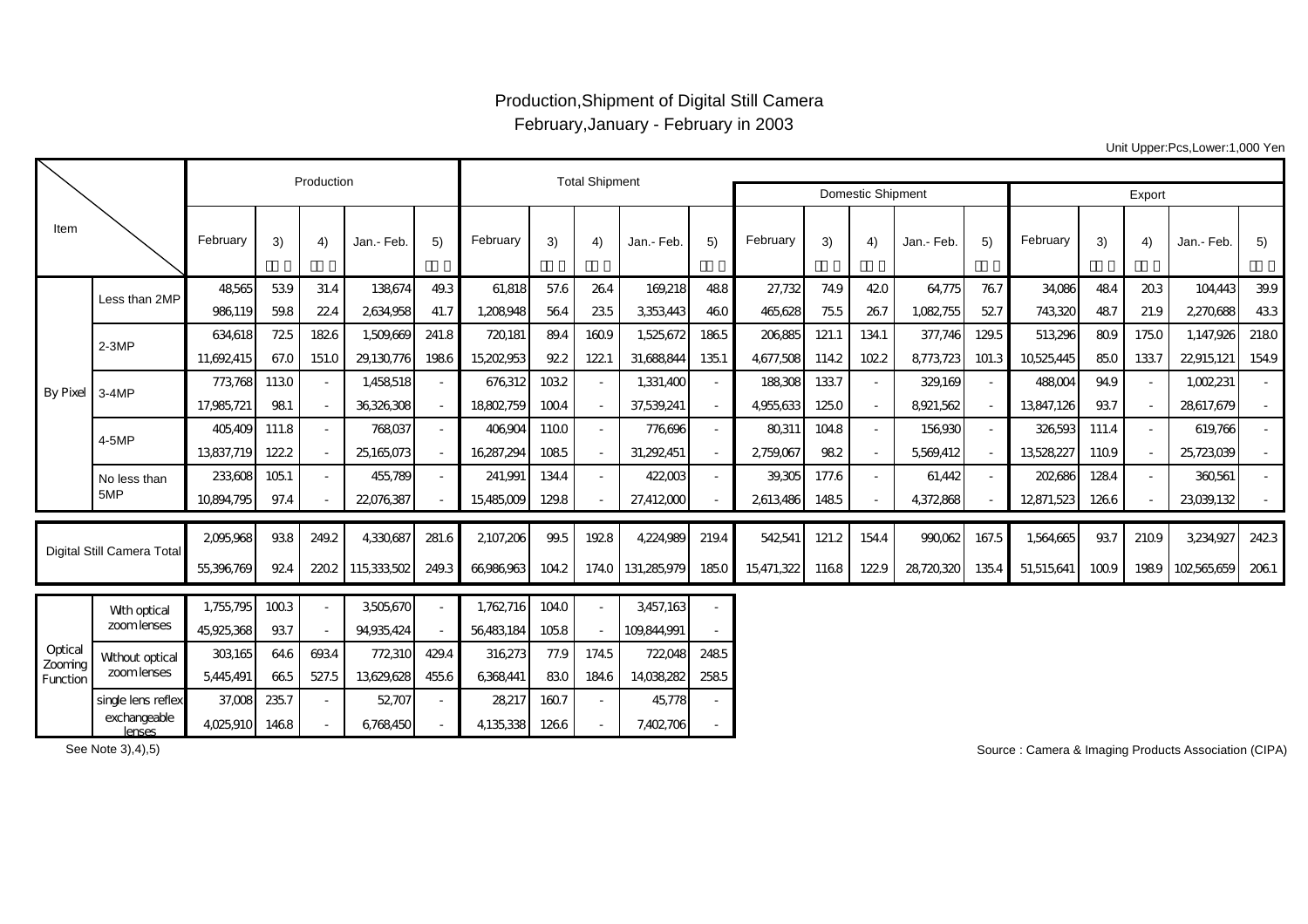## Production,Shipment of Digital Still Camera February,January - February in 2003

Export 3) | 4) |Jan.-Feb.| 5) ||February | 3) | 4) |Jan.-Feb.| 5) || February | 3) | 4) |Jan.-Feb.| 5) || February | 3) | 4) |Jan.-Feb.| 5) 48,565| 53.9| 31.4| 138,674| 49.3| 61,818| 57.6| 26.4| 169,218| 48.8| 27,732| 74.9| 42.0| 64,775| 76.7| 34,086| 48.4| 20.3| 104,443| 39.9 986,119| 59.8| 22.4| 2,634,958| 41.7| 1,208,948| 56.4| 23.5| 3,353,443| 46.0|| 465,628| 75.5| 26.7| 1,082,755| 52.7|| 743,320| 48.7| 21.9| 2,270,688| 43.3 634,618| 72.5|182.6| 1,509,669| 241.8| 720,181| 89.4|160.9| 1,525,672|186.5| 206,885|121.1|134.1| 377,746|129.5| 513,296| 80.9|175.0| 1,147,926|218.0 11,692,415| 67.0|151.0|29,130,776|198.6|15,202,953| 92.2|122.1|31,688,844|135.1|4,677,508|114.2|102.2|8,773,723|101.3|10,525,445| 85.0|133.7|22,915,121|154.9 773,768| 113.0 | - | 1,458,518| - || 676,312| 103.2 | - || 1,331,400| - || 188,308| 133.7 || - || 329,169| - || 488,004| 94.9 || - || 1,002,231 || -17,985,721 98.1 - 36,326,308 - 18,802,759 100.4 - 37,539,241 - 14,955,633 125.0 - 18921,562 - 13,847,126 93.7 - 128,617,679 -405,409| 111.8 | - | 768,037| - | 406,904| 110.0 | - | 776,696| - | 80,311| 104.8 | - | 156,930| - | 326,593| 111.4 | - | 619,766| -13,837,719| 1222 | | 25,165,073| | 16,287,294| 108.5 | | 31,292,451 | | 2,759,067| 98.2 | | 5569,412| | 13,528,227| 110.9 | | 25,723,039| | 233,608| 105.1 | - | -455,789| - | -241,991| 134.4 | - | -422,003| - | -39,305| 177.6 | - | -61,442| - | -202,686| 128.4 | - | -360,561| -10,894,795 97.4 - 22,076,387 - 15,485,009 129.8 - 27,412,000 - 2,613,486 148.5 - 4,372,868 - 12,871,523 126.6 - 23,039,132 - 2,095,968| 93.8|249.2| 4,330,687|281.6| 2,107,206| 99.5|192.8| 4,224,989|219.4| 542,541|121.2|154.4| 990,062|167.5| 1,564,665| 93.7|210.9| 3,234,927|242.3 55,396,769 92.4 220.2 115,333,502 249.3 66,986,963 104.2 174.0 131,285,979 185.0 15,471,322 116.8 122.9 28,720,320 135.4 51,515,641 100.9 198.9 102,565,659 206.1  $1,755,670$  1,762,716 1010 Domestic Shipment February | 3) | 4) |Jan.-Feb. | 5) | February | 3) | 4) |Jan.-Feb. | 5) | February | 3) | 4) |Jan.-Feb. | 5) | February Digital Still Camera Total Production **Total Shipment** ItemBy Pixel Less than 2MP No less than 5MP 2-3MP 3-4MP 4-5MP $\frac{1}{1}$  with  $\frac{1}{1}$   $\frac{1}{1}$   $\frac{1}{1}$   $\frac{1}{1}$   $\frac{1}{1}$   $\frac{1}{1}$   $\frac{1}{1}$ zoom lenses

|                                       | Vith optical<br>zoom lenses | 1,7JJ,7J   | ں یں ر |       | JJUJU/U    |                          | 1,702,710 I | ט <del>ו</del> יטו |       | انب، ان     |      |
|---------------------------------------|-----------------------------|------------|--------|-------|------------|--------------------------|-------------|--------------------|-------|-------------|------|
| Optical<br>Zooming<br><b>Function</b> |                             | 45,925,368 | 937    |       | 94.935.424 | $\overline{\phantom{0}}$ | 56483.184   | 1058               |       | 109.844.991 |      |
|                                       | Wthout optical              | 303165     | 64.6   | 6934  | 772310     | 429.4                    | 316.273     | 77.9               | 174.5 | 722048      | 2485 |
|                                       | zoom lenses                 | 5.445.491  | 665    | 527.5 | 13629.628  | 455.6                    | 6368441     | 830                | 184.6 | 14038282    | 2585 |
|                                       | single lens reflex          | 37.008     | 235.7  |       | 52707      | -                        | 28217       | 1607               |       | 45.778      |      |
|                                       | exchangeable<br>lenses      | 4025.910   | 1468   |       | 6768450    | -                        | 4,135,338   | 1266               |       | 7,402,706   |      |

See Note 3),4),5)

Source : Camera & Imaging Products Association (CIPA)

Unit Upper:Pcs,Lower:1,000 Yen